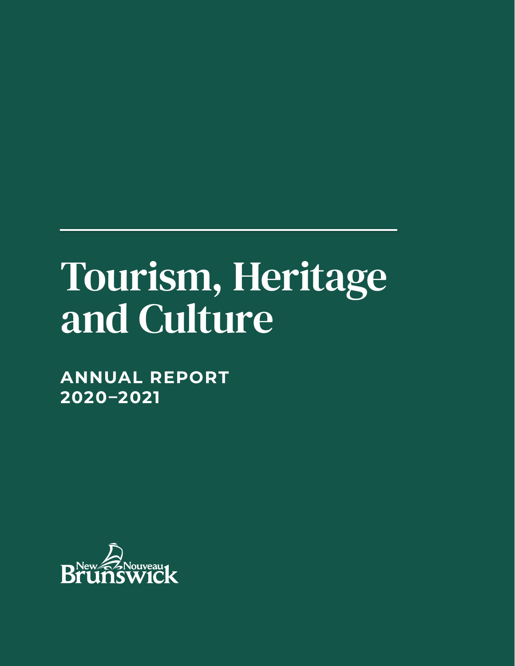# Tourism, Heritage and Culture

**ANNUAL REPORT 2020–2021**

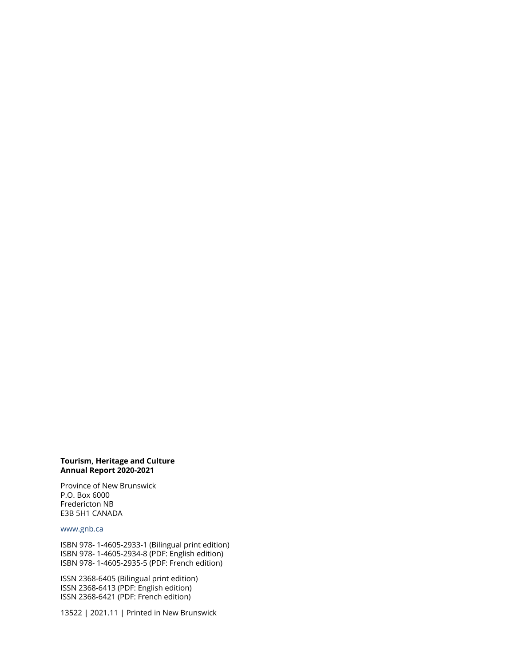#### **Tourism, Heritage and Culture Annual Report 2020-2021**

Province of New Brunswick P.O. Box 6000 Fredericton NB E3B 5H1 CANADA

#### www.gnb.ca

ISBN 978- 1-4605-2933-1 (Bilingual print edition) ISBN 978- 1-4605-2934-8 (PDF: English edition) ISBN 978- 1-4605-2935-5 (PDF: French edition)

ISSN 2368-6405 (Bilingual print edition) ISSN 2368-6413 (PDF: English edition) ISSN 2368-6421 (PDF: French edition)

13522 | 2021.11 | Printed in New Brunswick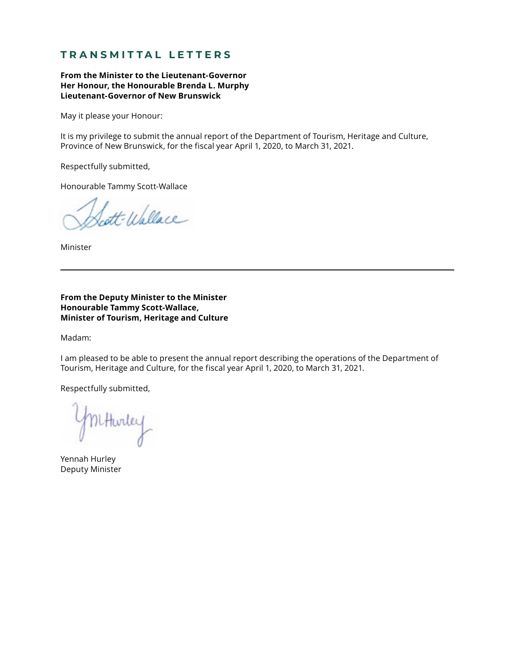## **TRANSMITTAL LETTERS**

**From the Minister to the Lieutenant-Governor Her Honour, the Honourable Brenda L. Murphy Lieutenant-Governor of New Brunswick**

May it please your Honour:

It is my privilege to submit the annual report of the Department of Tourism, Heritage and Culture, Province of New Brunswick, for the fiscal year April 1, 2020, to March 31, 2021.

Respectfully submitted,

Honourable Tammy Scott-Wallace

att-Wallace

Minister

#### **From the Deputy Minister to the Minister Honourable Tammy Scott-Wallace, Minister of Tourism, Heritage and Culture**

Madam:

I am pleased to be able to present the annual report describing the operations of the Department of Tourism, Heritage and Culture, for the fiscal year April 1, 2020, to March 31, 2021.

Respectfully submitted,

KHwiley

Yennah Hurley Deputy Minister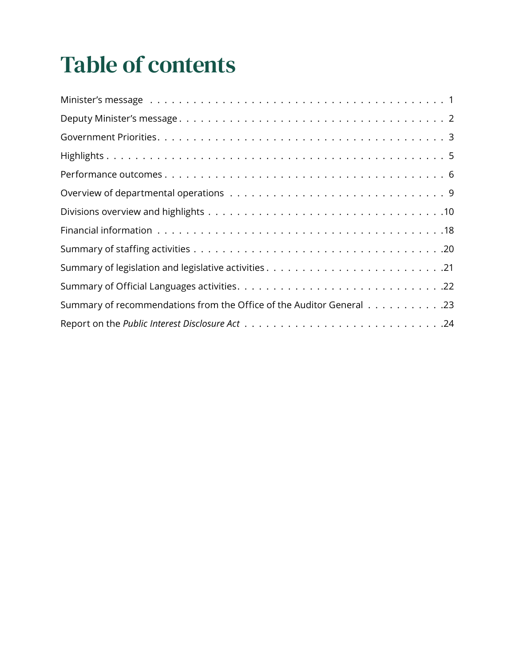## Table of contents

| Summary of recommendations from the Office of the Auditor General 23 |
|----------------------------------------------------------------------|
|                                                                      |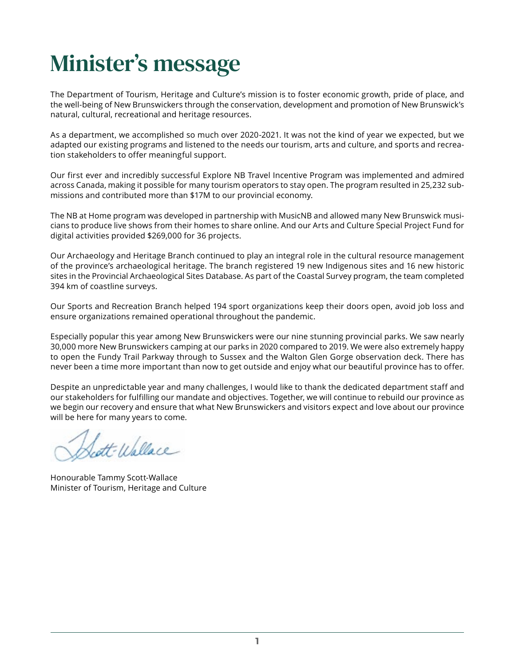## <span id="page-4-0"></span>Minister's message

The Department of Tourism, Heritage and Culture's mission is to foster economic growth, pride of place, and the well-being of New Brunswickers through the conservation, development and promotion of New Brunswick's natural, cultural, recreational and heritage resources.

As a department, we accomplished so much over 2020-2021. It was not the kind of year we expected, but we adapted our existing programs and listened to the needs our tourism, arts and culture, and sports and recreation stakeholders to offer meaningful support.

Our first ever and incredibly successful Explore NB Travel Incentive Program was implemented and admired across Canada, making it possible for many tourism operators to stay open. The program resulted in 25,232 submissions and contributed more than \$17M to our provincial economy.

The NB at Home program was developed in partnership with MusicNB and allowed many New Brunswick musicians to produce live shows from their homes to share online. And our Arts and Culture Special Project Fund for digital activities provided \$269,000 for 36 projects.

Our Archaeology and Heritage Branch continued to play an integral role in the cultural resource management of the province's archaeological heritage. The branch registered 19 new Indigenous sites and 16 new historic sites in the Provincial Archaeological Sites Database. As part of the Coastal Survey program, the team completed 394 km of coastline surveys.

Our Sports and Recreation Branch helped 194 sport organizations keep their doors open, avoid job loss and ensure organizations remained operational throughout the pandemic.

Especially popular this year among New Brunswickers were our nine stunning provincial parks. We saw nearly 30,000 more New Brunswickers camping at our parks in 2020 compared to 2019. We were also extremely happy to open the Fundy Trail Parkway through to Sussex and the Walton Glen Gorge observation deck. There has never been a time more important than now to get outside and enjoy what our beautiful province has to offer.

Despite an unpredictable year and many challenges, I would like to thank the dedicated department staff and our stakeholders for fulfilling our mandate and objectives. Together, we will continue to rebuild our province as we begin our recovery and ensure that what New Brunswickers and visitors expect and love about our province will be here for many years to come.

att-Wallace

Honourable Tammy Scott-Wallace Minister of Tourism, Heritage and Culture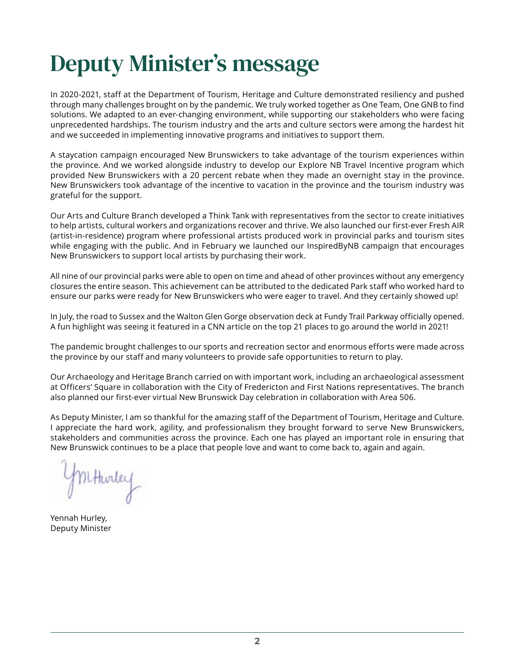## <span id="page-5-0"></span>Deputy Minister's message

In 2020-2021, staff at the Department of Tourism, Heritage and Culture demonstrated resiliency and pushed through many challenges brought on by the pandemic. We truly worked together as One Team, One GNB to find solutions. We adapted to an ever-changing environment, while supporting our stakeholders who were facing unprecedented hardships. The tourism industry and the arts and culture sectors were among the hardest hit and we succeeded in implementing innovative programs and initiatives to support them.

A staycation campaign encouraged New Brunswickers to take advantage of the tourism experiences within the province. And we worked alongside industry to develop our Explore NB Travel Incentive program which provided New Brunswickers with a 20 percent rebate when they made an overnight stay in the province. New Brunswickers took advantage of the incentive to vacation in the province and the tourism industry was grateful for the support.

Our Arts and Culture Branch developed a Think Tank with representatives from the sector to create initiatives to help artists, cultural workers and organizations recover and thrive. We also launched our first-ever Fresh AIR (artist-in-residence) program where professional artists produced work in provincial parks and tourism sites while engaging with the public. And in February we launched our InspiredByNB campaign that encourages New Brunswickers to support local artists by purchasing their work.

All nine of our provincial parks were able to open on time and ahead of other provinces without any emergency closures the entire season. This achievement can be attributed to the dedicated Park staff who worked hard to ensure our parks were ready for New Brunswickers who were eager to travel. And they certainly showed up!

In July, the road to Sussex and the Walton Glen Gorge observation deck at Fundy Trail Parkway officially opened. A fun highlight was seeing it featured in a CNN article on the top 21 places to go around the world in 2021!

The pandemic brought challenges to our sports and recreation sector and enormous efforts were made across the province by our staff and many volunteers to provide safe opportunities to return to play.

Our Archaeology and Heritage Branch carried on with important work, including an archaeological assessment at Officers' Square in collaboration with the City of Fredericton and First Nations representatives. The branch also planned our first-ever virtual New Brunswick Day celebration in collaboration with Area 506.

As Deputy Minister, I am so thankful for the amazing staff of the Department of Tourism, Heritage and Culture. I appreciate the hard work, agility, and professionalism they brought forward to serve New Brunswickers, stakeholders and communities across the province. Each one has played an important role in ensuring that New Brunswick continues to be a place that people love and want to come back to, again and again.

Mithorley

Yennah Hurley, Deputy Minister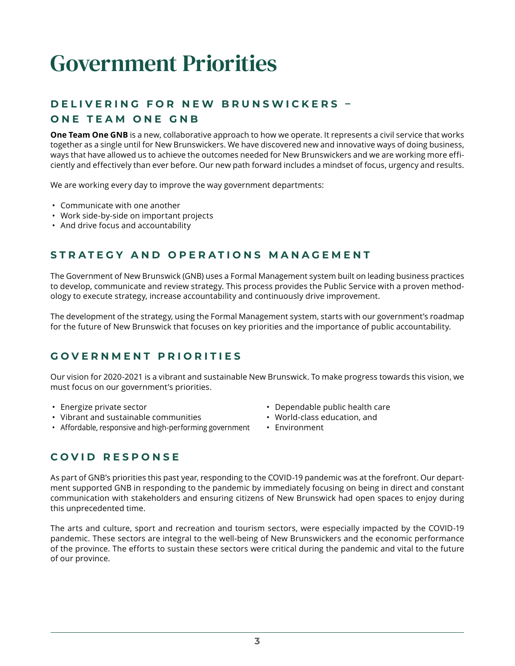## <span id="page-6-0"></span>Government Priorities

## **D E L I V E R I N G F O R N E W B R U N S W I C K E R S – ONE TEAM ONE GNB**

**One Team One GNB** is a new, collaborative approach to how we operate. It represents a civil service that works together as a single until for New Brunswickers. We have discovered new and innovative ways of doing business, ways that have allowed us to achieve the outcomes needed for New Brunswickers and we are working more efficiently and effectively than ever before. Our new path forward includes a mindset of focus, urgency and results.

We are working every day to improve the way government departments:

- Communicate with one another
- Work side-by-side on important projects
- And drive focus and accountability

## **STRATEGY AND OPERATIONS MANAGEMENT**

The Government of New Brunswick (GNB) uses a Formal Management system built on leading business practices to develop, communicate and review strategy. This process provides the Public Service with a proven methodology to execute strategy, increase accountability and continuously drive improvement.

The development of the strategy, using the Formal Management system, starts with our government's roadmap for the future of New Brunswick that focuses on key priorities and the importance of public accountability.

## **GOVERNMENT PRIORITIES**

Our vision for 2020-2021 is a vibrant and sustainable New Brunswick. To make progress towards this vision, we must focus on our government's priorities.

- Energize private sector
- Vibrant and sustainable communities
- Affordable, responsive and high-performing government
- Dependable public health care
- World-class education, and
- Environment

## **COVID RESPONSE**

As part of GNB's priorities this past year, responding to the COVID-19 pandemic was at the forefront. Our department supported GNB in responding to the pandemic by immediately focusing on being in direct and constant communication with stakeholders and ensuring citizens of New Brunswick had open spaces to enjoy during this unprecedented time.

The arts and culture, sport and recreation and tourism sectors, were especially impacted by the COVID-19 pandemic. These sectors are integral to the well-being of New Brunswickers and the economic performance of the province. The efforts to sustain these sectors were critical during the pandemic and vital to the future of our province.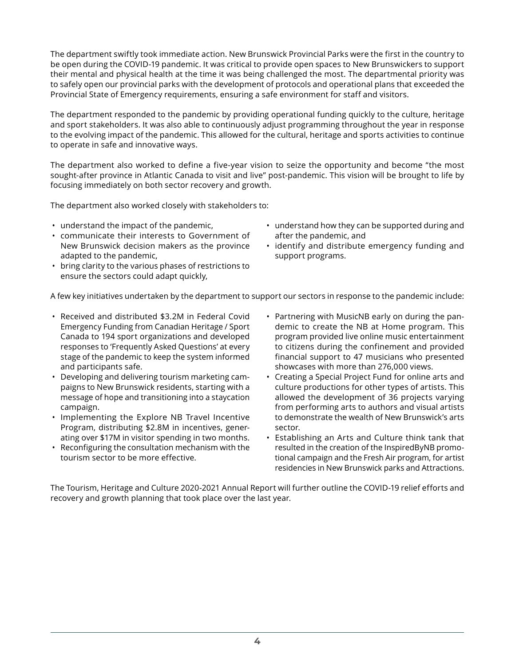The department swiftly took immediate action. New Brunswick Provincial Parks were the first in the country to be open during the COVID-19 pandemic. It was critical to provide open spaces to New Brunswickers to support their mental and physical health at the time it was being challenged the most. The departmental priority was to safely open our provincial parks with the development of protocols and operational plans that exceeded the Provincial State of Emergency requirements, ensuring a safe environment for staff and visitors.

The department responded to the pandemic by providing operational funding quickly to the culture, heritage and sport stakeholders. It was also able to continuously adjust programming throughout the year in response to the evolving impact of the pandemic. This allowed for the cultural, heritage and sports activities to continue to operate in safe and innovative ways.

The department also worked to define a five-year vision to seize the opportunity and become "the most sought-after province in Atlantic Canada to visit and live" post-pandemic. This vision will be brought to life by focusing immediately on both sector recovery and growth.

The department also worked closely with stakeholders to:

- understand the impact of the pandemic,
- communicate their interests to Government of New Brunswick decision makers as the province adapted to the pandemic,
- bring clarity to the various phases of restrictions to ensure the sectors could adapt quickly,
- understand how they can be supported during and after the pandemic, and
- identify and distribute emergency funding and support programs.

A few key initiatives undertaken by the department to support our sectors in response to the pandemic include:

- Received and distributed \$3.2M in Federal Covid Emergency Funding from Canadian Heritage / Sport Canada to 194 sport organizations and developed responses to 'Frequently Asked Questions' at every stage of the pandemic to keep the system informed and participants safe.
- Developing and delivering tourism marketing campaigns to New Brunswick residents, starting with a message of hope and transitioning into a staycation campaign.
- Implementing the Explore NB Travel Incentive Program, distributing \$2.8M in incentives, generating over \$17M in visitor spending in two months.
- Reconfiguring the consultation mechanism with the tourism sector to be more effective.
- Partnering with MusicNB early on during the pandemic to create the NB at Home program. This program provided live online music entertainment to citizens during the confinement and provided financial support to 47 musicians who presented showcases with more than 276,000 views.
- Creating a Special Project Fund for online arts and culture productions for other types of artists. This allowed the development of 36 projects varying from performing arts to authors and visual artists to demonstrate the wealth of New Brunswick's arts sector.
- Establishing an Arts and Culture think tank that resulted in the creation of the InspiredByNB promotional campaign and the Fresh Air program, for artist residencies in New Brunswick parks and Attractions.

The Tourism, Heritage and Culture 2020-2021 Annual Report will further outline the COVID-19 relief efforts and recovery and growth planning that took place over the last year.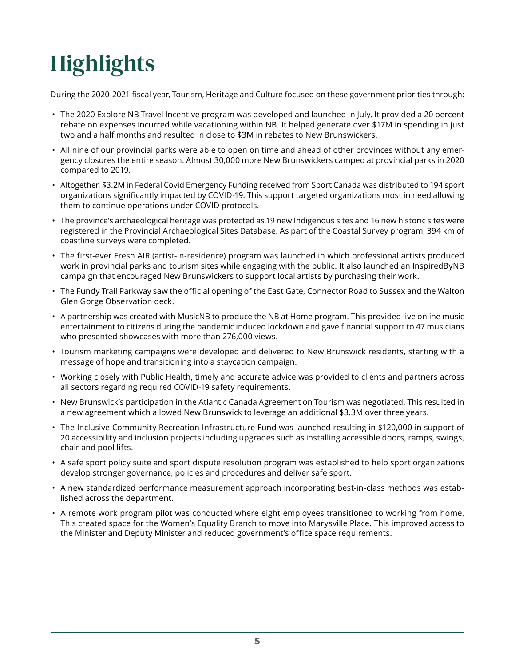## <span id="page-8-0"></span>**Highlights**

During the 2020-2021 fiscal year, Tourism, Heritage and Culture focused on these government priorities through:

- The 2020 Explore NB Travel Incentive program was developed and launched in July. It provided a 20 percent rebate on expenses incurred while vacationing within NB. It helped generate over \$17M in spending in just two and a half months and resulted in close to \$3M in rebates to New Brunswickers.
- All nine of our provincial parks were able to open on time and ahead of other provinces without any emergency closures the entire season. Almost 30,000 more New Brunswickers camped at provincial parks in 2020 compared to 2019.
- Altogether, \$3.2M in Federal Covid Emergency Funding received from Sport Canada was distributed to 194 sport organizations significantly impacted by COVID-19. This support targeted organizations most in need allowing them to continue operations under COVID protocols.
- The province's archaeological heritage was protected as 19 new Indigenous sites and 16 new historic sites were registered in the Provincial Archaeological Sites Database. As part of the Coastal Survey program, 394 km of coastline surveys were completed.
- The first-ever Fresh AIR (artist-in-residence) program was launched in which professional artists produced work in provincial parks and tourism sites while engaging with the public. It also launched an InspiredByNB campaign that encouraged New Brunswickers to support local artists by purchasing their work.
- The Fundy Trail Parkway saw the official opening of the East Gate, Connector Road to Sussex and the Walton Glen Gorge Observation deck.
- A partnership was created with MusicNB to produce the NB at Home program. This provided live online music entertainment to citizens during the pandemic induced lockdown and gave financial support to 47 musicians who presented showcases with more than 276,000 views.
- Tourism marketing campaigns were developed and delivered to New Brunswick residents, starting with a message of hope and transitioning into a staycation campaign.
- Working closely with Public Health, timely and accurate advice was provided to clients and partners across all sectors regarding required COVID-19 safety requirements.
- New Brunswick's participation in the Atlantic Canada Agreement on Tourism was negotiated. This resulted in a new agreement which allowed New Brunswick to leverage an additional \$3.3M over three years.
- The Inclusive Community Recreation Infrastructure Fund was launched resulting in \$120,000 in support of 20 accessibility and inclusion projects including upgrades such as installing accessible doors, ramps, swings, chair and pool lifts.
- A safe sport policy suite and sport dispute resolution program was established to help sport organizations develop stronger governance, policies and procedures and deliver safe sport.
- A new standardized performance measurement approach incorporating best-in-class methods was established across the department.
- A remote work program pilot was conducted where eight employees transitioned to working from home. This created space for the Women's Equality Branch to move into Marysville Place. This improved access to the Minister and Deputy Minister and reduced government's office space requirements.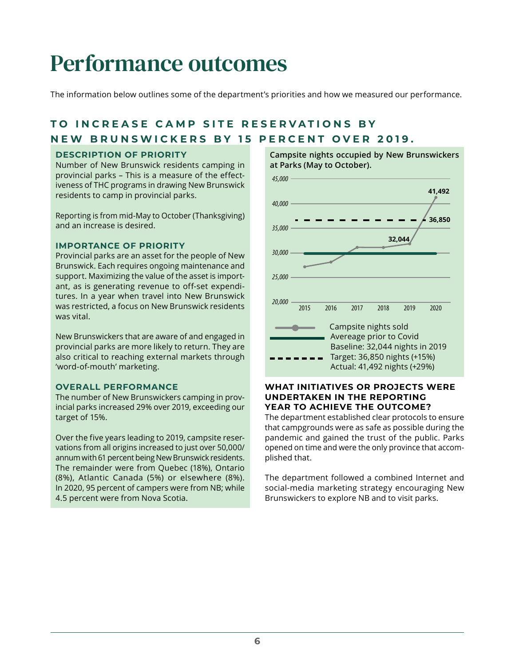## <span id="page-9-0"></span>Performance outcomes

The information below outlines some of the department's priorities and how we measured our performance.

## **TO INCREASE CAMP SITE RESERVATIONS BY NEW BRUNSWICKERS BY 15 PERCENT OVER 2019.**

### **DESCRIPTION OF PRIORITY**

Number of New Brunswick residents camping in provincial parks – This is a measure of the effectiveness of THC programs in drawing New Brunswick residents to camp in provincial parks.

Reporting is from mid-May to October (Thanksgiving) and an increase is desired.

### **IMPORTANCE OF PRIORITY**

Provincial parks are an asset for the people of New Brunswick. Each requires ongoing maintenance and support. Maximizing the value of the asset is important, as is generating revenue to off-set expenditures. In a year when travel into New Brunswick was restricted, a focus on New Brunswick residents was vital.

New Brunswickers that are aware of and engaged in provincial parks are more likely to return. They are also critical to reaching external markets through 'word-of-mouth' marketing.

#### **OVERALL PERFORMANCE**

The number of New Brunswickers camping in provincial parks increased 29% over 2019, exceeding our target of 15%.

Over the five years leading to 2019, campsite reservations from all origins increased to just over 50,000/ annum with 61 percent being New Brunswick residents. The remainder were from Quebec (18%), Ontario (8%), Atlantic Canada (5%) or elsewhere (8%). In 2020, 95 percent of campers were from NB; while 4.5 percent were from Nova Scotia.

#### **Campsite nights occupied by New Brunswickers at Parks (May to October).**



### **WHAT INITIATIVES OR PROJECTS WERE UNDERTAKEN IN THE REPORTING YEAR TO ACHIEVE THE OUTCOME?**

The department established clear protocols to ensure that campgrounds were as safe as possible during the pandemic and gained the trust of the public. Parks opened on time and were the only province that accomplished that.

The department followed a combined Internet and social-media marketing strategy encouraging New Brunswickers to explore NB and to visit parks.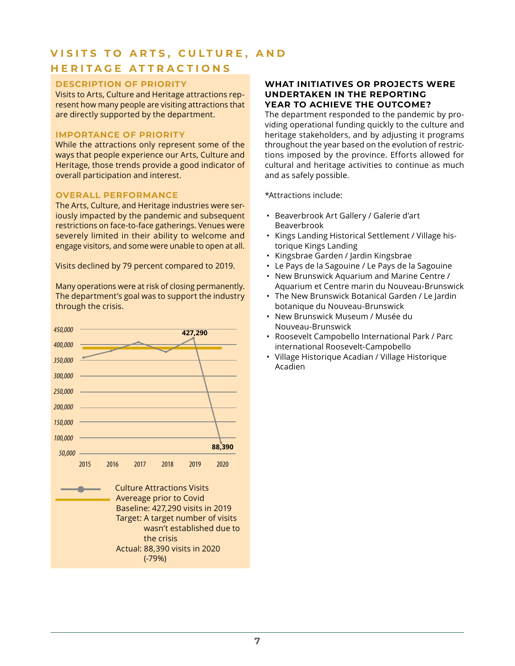## **VISITS TO ARTS, CULTURE, AND HERITAGE ATTRACTIONS**

## **DESCRIPTION OF PRIORITY**

Visits to Arts, Culture and Heritage attractions represent how many people are visiting attractions that are directly supported by the department.

#### **IMPORTANCE OF PRIORITY**

While the attractions only represent some of the ways that people experience our Arts, Culture and Heritage, those trends provide a good indicator of overall participation and interest.

#### **OVERALL PERFORMANCE**

The Arts, Culture, and Heritage industries were seriously impacted by the pandemic and subsequent restrictions on face-to-face gatherings. Venues were severely limited in their ability to welcome and engage visitors, and some were unable to open at all.

Visits declined by 79 percent compared to 2019.

Many operations were at risk of closing permanently. The department's goal was to support the industry through the crisis.



### **WHAT INITIATIVES OR PROJECTS WERE UNDERTAKEN IN THE REPORTING YEAR TO ACHIEVE THE OUTCOME?**

The department responded to the pandemic by providing operational funding quickly to the culture and heritage stakeholders, and by adjusting it programs throughout the year based on the evolution of restrictions imposed by the province. Efforts allowed for cultural and heritage activities to continue as much and as safely possible.

\*Attractions include:

- Beaverbrook Art Gallery / Galerie d'art Beaverbrook
- Kings Landing Historical Settlement / Village historique Kings Landing
- Kingsbrae Garden / Jardin Kingsbrae
- Le Pays de la Sagouine / Le Pays de la Sagouine
- New Brunswick Aquarium and Marine Centre / Aquarium et Centre marin du Nouveau-Brunswick
- The New Brunswick Botanical Garden / Le Jardin botanique du Nouveau-Brunswick
- New Brunswick Museum / Musée du Nouveau-Brunswick
- Roosevelt Campobello International Park / Parc international Roosevelt-Campobello
- Village Historique Acadian / Village Historique Acadien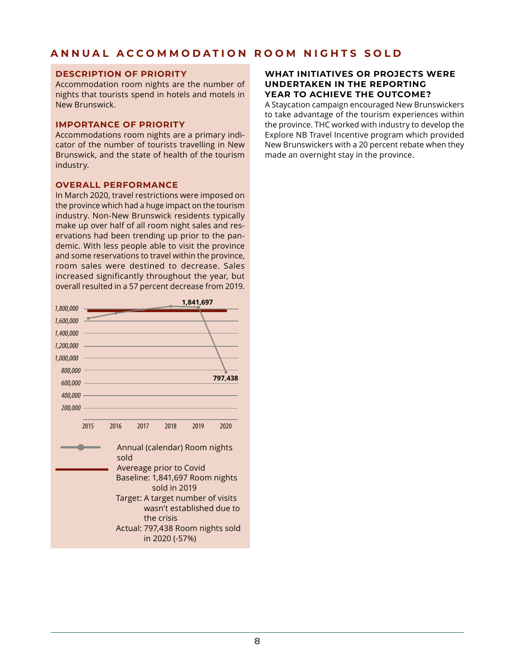## **ANNUAL ACCOMMODATION ROOM NIGHTS SOLD**

#### **DESCRIPTION OF PRIORITY**

Accommodation room nights are the number of nights that tourists spend in hotels and motels in New Brunswick.

#### **IMPORTANCE OF PRIORITY**

Accommodations room nights are a primary indicator of the number of tourists travelling in New Brunswick, and the state of health of the tourism industry.

### **OVERALL PERFORMANCE**

In March 2020, travel restrictions were imposed on the province which had a huge impact on the tourism industry. Non-New Brunswick residents typically make up over half of all room night sales and reservations had been trending up prior to the pandemic. With less people able to visit the province and some reservations to travel within the province, room sales were destined to decrease. Sales increased significantly throughout the year, but overall resulted in a 57 percent decrease from 2019.



### **WHAT INITIATIVES OR PROJECTS WERE UNDERTAKEN IN THE REPORTING YEAR TO ACHIEVE THE OUTCOME?**

A Staycation campaign encouraged New Brunswickers to take advantage of the tourism experiences within the province. THC worked with industry to develop the Explore NB Travel Incentive program which provided New Brunswickers with a 20 percent rebate when they made an overnight stay in the province.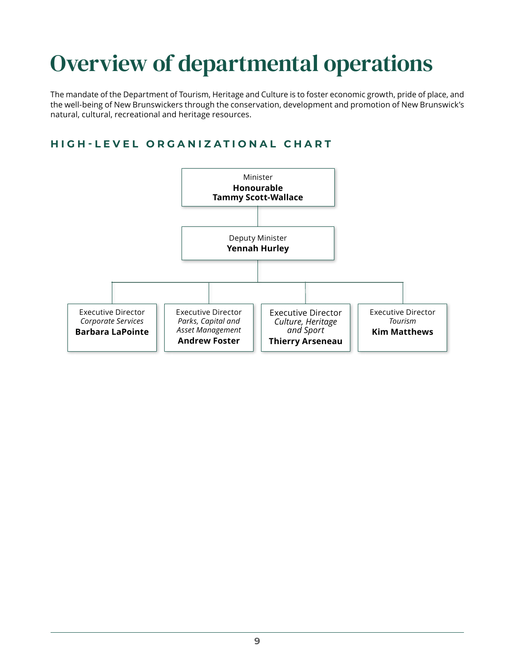## <span id="page-12-0"></span>Overview of departmental operations

The mandate of the Department of Tourism, Heritage and Culture is to foster economic growth, pride of place, and the well-being of New Brunswickers through the conservation, development and promotion of New Brunswick's natural, cultural, recreational and heritage resources.

## **HIGH-LEVEL ORGANIZATIONAL CHART**

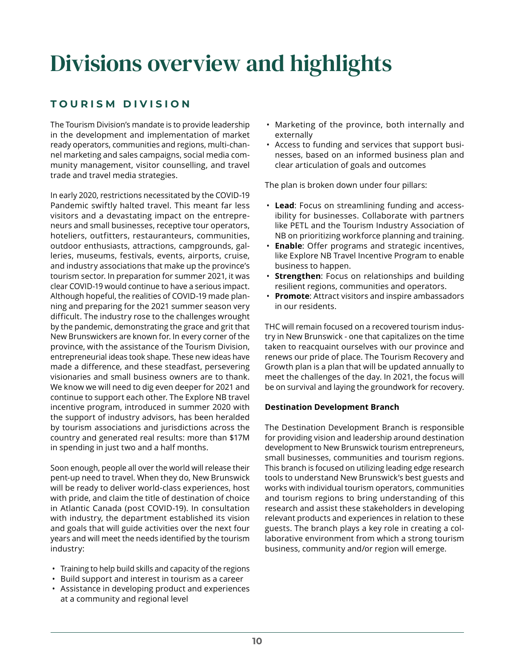## <span id="page-13-0"></span>Divisions overview and highlights

## **TOURISM DIVISION**

The Tourism Division's mandate is to provide leadership in the development and implementation of market ready operators, communities and regions, multi-channel marketing and sales campaigns, social media community management, visitor counselling, and travel trade and travel media strategies.

In early 2020, restrictions necessitated by the COVID-19 Pandemic swiftly halted travel. This meant far less visitors and a devastating impact on the entrepreneurs and small businesses, receptive tour operators, hoteliers, outfitters, restauranteurs, communities, outdoor enthusiasts, attractions, campgrounds, galleries, museums, festivals, events, airports, cruise, and industry associations that make up the province's tourism sector. In preparation for summer 2021, it was clear COVID-19 would continue to have a serious impact. Although hopeful, the realities of COVID-19 made planning and preparing for the 2021 summer season very difficult. The industry rose to the challenges wrought by the pandemic, demonstrating the grace and grit that New Brunswickers are known for. In every corner of the province, with the assistance of the Tourism Division, entrepreneurial ideas took shape. These new ideas have made a difference, and these steadfast, persevering visionaries and small business owners are to thank. We know we will need to dig even deeper for 2021 and continue to support each other. The Explore NB travel incentive program, introduced in summer 2020 with the support of industry advisors, has been heralded by tourism associations and jurisdictions across the country and generated real results: more than \$17M in spending in just two and a half months.

Soon enough, people all over the world will release their pent-up need to travel. When they do, New Brunswick will be ready to deliver world-class experiences, host with pride, and claim the title of destination of choice in Atlantic Canada (post COVID-19). In consultation with industry, the department established its vision and goals that will guide activities over the next four years and will meet the needs identified by the tourism industry:

- Training to help build skills and capacity of the regions
- Build support and interest in tourism as a career
- Assistance in developing product and experiences at a community and regional level
- Marketing of the province, both internally and externally
- Access to funding and services that support businesses, based on an informed business plan and clear articulation of goals and outcomes

The plan is broken down under four pillars:

- **Lead**: Focus on streamlining funding and accessibility for businesses. Collaborate with partners like PETL and the Tourism Industry Association of NB on prioritizing workforce planning and training.
- **Enable**: Offer programs and strategic incentives, like Explore NB Travel Incentive Program to enable business to happen.
- **Strengthen**: Focus on relationships and building resilient regions, communities and operators.
- **Promote**: Attract visitors and inspire ambassadors in our residents.

THC will remain focused on a recovered tourism industry in New Brunswick - one that capitalizes on the time taken to reacquaint ourselves with our province and renews our pride of place. The Tourism Recovery and Growth plan is a plan that will be updated annually to meet the challenges of the day. In 2021, the focus will be on survival and laying the groundwork for recovery.

### **Destination Development Branch**

The Destination Development Branch is responsible for providing vision and leadership around destination development to New Brunswick tourism entrepreneurs, small businesses, communities and tourism regions. This branch is focused on utilizing leading edge research tools to understand New Brunswick's best guests and works with individual tourism operators, communities and tourism regions to bring understanding of this research and assist these stakeholders in developing relevant products and experiences in relation to these guests. The branch plays a key role in creating a collaborative environment from which a strong tourism business, community and/or region will emerge.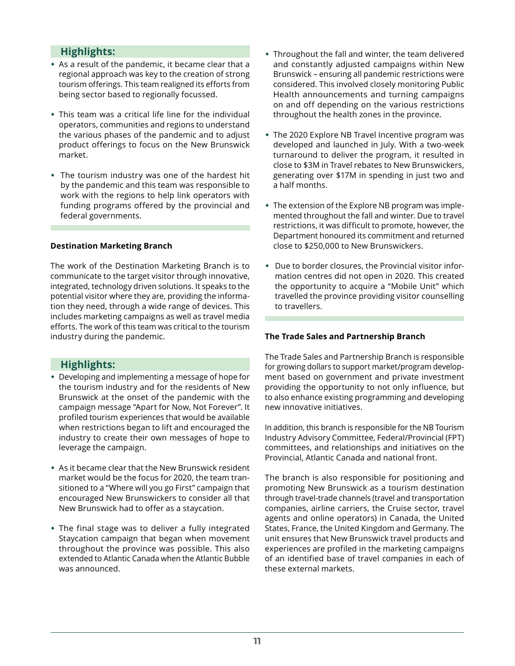## **Highlights:**

- As a result of the pandemic, it became clear that a regional approach was key to the creation of strong tourism offerings. This team realigned its efforts from being sector based to regionally focussed.
- This team was a critical life line for the individual operators, communities and regions to understand the various phases of the pandemic and to adjust product offerings to focus on the New Brunswick market.
- The tourism industry was one of the hardest hit by the pandemic and this team was responsible to work with the regions to help link operators with funding programs offered by the provincial and federal governments.

### **Destination Marketing Branch**

The work of the Destination Marketing Branch is to communicate to the target visitor through innovative, integrated, technology driven solutions. It speaks to the potential visitor where they are, providing the information they need, through a wide range of devices. This includes marketing campaigns as well as travel media efforts. The work of this team was critical to the tourism industry during the pandemic.

## **Highlights:**

- Developing and implementing a message of hope for the tourism industry and for the residents of New Brunswick at the onset of the pandemic with the campaign message "Apart for Now, Not Forever". It profiled tourism experiences that would be available when restrictions began to lift and encouraged the industry to create their own messages of hope to leverage the campaign.
- As it became clear that the New Brunswick resident market would be the focus for 2020, the team transitioned to a "Where will you go First" campaign that encouraged New Brunswickers to consider all that New Brunswick had to offer as a staycation.
- The final stage was to deliver a fully integrated Staycation campaign that began when movement throughout the province was possible. This also extended to Atlantic Canada when the Atlantic Bubble was announced.
- Throughout the fall and winter, the team delivered and constantly adjusted campaigns within New Brunswick – ensuring all pandemic restrictions were considered. This involved closely monitoring Public Health announcements and turning campaigns on and off depending on the various restrictions throughout the health zones in the province.
- The 2020 Explore NB Travel Incentive program was developed and launched in July. With a two-week turnaround to deliver the program, it resulted in close to \$3M in Travel rebates to New Brunswickers, generating over \$17M in spending in just two and a half months.
- The extension of the Explore NB program was implemented throughout the fall and winter. Due to travel restrictions, it was difficult to promote, however, the Department honoured its commitment and returned close to \$250,000 to New Brunswickers.
- Due to border closures, the Provincial visitor information centres did not open in 2020. This created the opportunity to acquire a "Mobile Unit" which travelled the province providing visitor counselling to travellers.

### **The Trade Sales and Partnership Branch**

The Trade Sales and Partnership Branch is responsible for growing dollars to support market/program development based on government and private investment providing the opportunity to not only influence, but to also enhance existing programming and developing new innovative initiatives.

In addition, this branch is responsible for the NB Tourism Industry Advisory Committee, Federal/Provincial (FPT) committees, and relationships and initiatives on the Provincial, Atlantic Canada and national front.

The branch is also responsible for positioning and promoting New Brunswick as a tourism destination through travel-trade channels (travel and transportation companies, airline carriers, the Cruise sector, travel agents and online operators) in Canada, the United States, France, the United Kingdom and Germany. The unit ensures that New Brunswick travel products and experiences are profiled in the marketing campaigns of an identified base of travel companies in each of these external markets.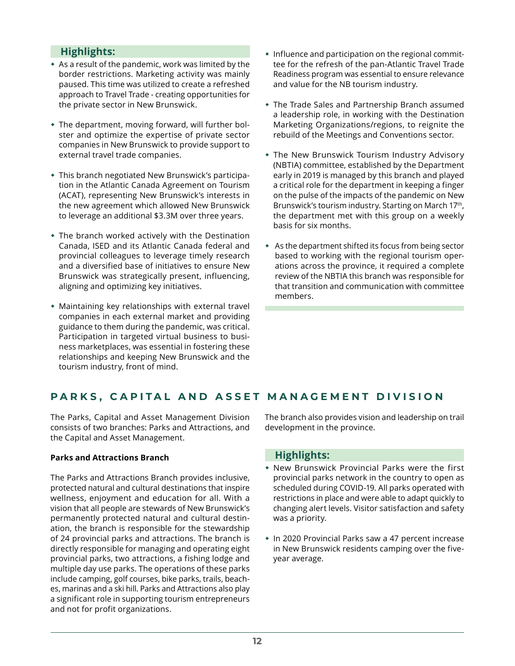## **Highlights:**

- As a result of the pandemic, work was limited by the border restrictions. Marketing activity was mainly paused. This time was utilized to create a refreshed approach to Travel Trade - creating opportunities for the private sector in New Brunswick.
- The department, moving forward, will further bolster and optimize the expertise of private sector companies in New Brunswick to provide support to external travel trade companies.
- This branch negotiated New Brunswick's participation in the Atlantic Canada Agreement on Tourism (ACAT), representing New Brunswick's interests in the new agreement which allowed New Brunswick to leverage an additional \$3.3M over three years.
- The branch worked actively with the Destination Canada, ISED and its Atlantic Canada federal and provincial colleagues to leverage timely research and a diversified base of initiatives to ensure New Brunswick was strategically present, influencing, aligning and optimizing key initiatives.
- Maintaining key relationships with external travel companies in each external market and providing guidance to them during the pandemic, was critical. Participation in targeted virtual business to business marketplaces, was essential in fostering these relationships and keeping New Brunswick and the tourism industry, front of mind.
- Influence and participation on the regional committee for the refresh of the pan-Atlantic Travel Trade Readiness program was essential to ensure relevance and value for the NB tourism industry.
- The Trade Sales and Partnership Branch assumed a leadership role, in working with the Destination Marketing Organizations/regions, to reignite the rebuild of the Meetings and Conventions sector.
- The New Brunswick Tourism Industry Advisory (NBTIA) committee, established by the Department early in 2019 is managed by this branch and played a critical role for the department in keeping a finger on the pulse of the impacts of the pandemic on New Brunswick's tourism industry. Starting on March 17<sup>th</sup>, the department met with this group on a weekly basis for six months.
- As the department shifted its focus from being sector based to working with the regional tourism operations across the province, it required a complete review of the NBTIA this branch was responsible for that transition and communication with committee members.

## **PARKS, CAPITAL AND ASSET MANAGEMENT DIVISION**

The Parks, Capital and Asset Management Division consists of two branches: Parks and Attractions, and the Capital and Asset Management.

## **Parks and Attractions Branch**

The Parks and Attractions Branch provides inclusive, protected natural and cultural destinations that inspire wellness, enjoyment and education for all. With a vision that all people are stewards of New Brunswick's permanently protected natural and cultural destination, the branch is responsible for the stewardship of 24 provincial parks and attractions. The branch is directly responsible for managing and operating eight provincial parks, two attractions, a fishing lodge and multiple day use parks. The operations of these parks include camping, golf courses, bike parks, trails, beaches, marinas and a ski hill. Parks and Attractions also play a significant role in supporting tourism entrepreneurs and not for profit organizations.

The branch also provides vision and leadership on trail development in the province.

## **Highlights:**

- New Brunswick Provincial Parks were the first provincial parks network in the country to open as scheduled during COVID-19. All parks operated with restrictions in place and were able to adapt quickly to changing alert levels. Visitor satisfaction and safety was a priority.
- In 2020 Provincial Parks saw a 47 percent increase in New Brunswick residents camping over the fiveyear average.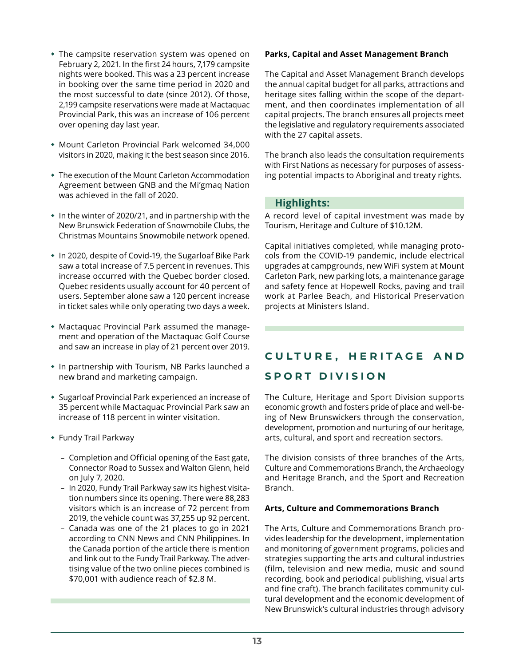- The campsite reservation system was opened on February 2, 2021. In the first 24 hours, 7,179 campsite nights were booked. This was a 23 percent increase in booking over the same time period in 2020 and the most successful to date (since 2012). Of those, 2,199 campsite reservations were made at Mactaquac Provincial Park, this was an increase of 106 percent over opening day last year.
- Mount Carleton Provincial Park welcomed 34,000 visitors in 2020, making it the best season since 2016.
- The execution of the Mount Carleton Accommodation Agreement between GNB and the Mi'gmaq Nation was achieved in the fall of 2020.
- In the winter of 2020/21, and in partnership with the New Brunswick Federation of Snowmobile Clubs, the Christmas Mountains Snowmobile network opened.
- In 2020, despite of Covid-19, the Sugarloaf Bike Park saw a total increase of 7.5 percent in revenues. This increase occurred with the Quebec border closed. Quebec residents usually account for 40 percent of users. September alone saw a 120 percent increase in ticket sales while only operating two days a week.
- Mactaquac Provincial Park assumed the management and operation of the Mactaquac Golf Course and saw an increase in play of 21 percent over 2019.
- In partnership with Tourism, NB Parks launched a new brand and marketing campaign.
- Sugarloaf Provincial Park experienced an increase of 35 percent while Mactaquac Provincial Park saw an increase of 118 percent in winter visitation.
- Fundy Trail Parkway
	- Completion and Official opening of the East gate, Connector Road to Sussex and Walton Glenn, held on July 7, 2020.
	- In 2020, Fundy Trail Parkway saw its highest visitation numbers since its opening. There were 88,283 visitors which is an increase of 72 percent from 2019, the vehicle count was 37,255 up 92 percent.
	- Canada was one of the 21 places to go in 2021 according to CNN News and CNN Philippines. In the Canada portion of the article there is mention and link out to the Fundy Trail Parkway. The advertising value of the two online pieces combined is \$70,001 with audience reach of \$2.8 M.

#### **Parks, Capital and Asset Management Branch**

The Capital and Asset Management Branch develops the annual capital budget for all parks, attractions and heritage sites falling within the scope of the department, and then coordinates implementation of all capital projects. The branch ensures all projects meet the legislative and regulatory requirements associated with the 27 capital assets.

The branch also leads the consultation requirements with First Nations as necessary for purposes of assessing potential impacts to Aboriginal and treaty rights.

### **Highlights:**

A record level of capital investment was made by Tourism, Heritage and Culture of \$10.12M.

Capital initiatives completed, while managing protocols from the COVID-19 pandemic, include electrical upgrades at campgrounds, new WiFi system at Mount Carleton Park, new parking lots, a maintenance garage and safety fence at Hopewell Rocks, paving and trail work at Parlee Beach, and Historical Preservation projects at Ministers Island.

## **CULTURE, HERITAGE AND SPORT DIVISION**

The Culture, Heritage and Sport Division supports economic growth and fosters pride of place and well-being of New Brunswickers through the conservation, development, promotion and nurturing of our heritage, arts, cultural, and sport and recreation sectors.

The division consists of three branches of the Arts, Culture and Commemorations Branch, the Archaeology and Heritage Branch, and the Sport and Recreation Branch.

#### **Arts, Culture and Commemorations Branch**

The Arts, Culture and Commemorations Branch provides leadership for the development, implementation and monitoring of government programs, policies and strategies supporting the arts and cultural industries (film, television and new media, music and sound recording, book and periodical publishing, visual arts and fine craft). The branch facilitates community cultural development and the economic development of New Brunswick's cultural industries through advisory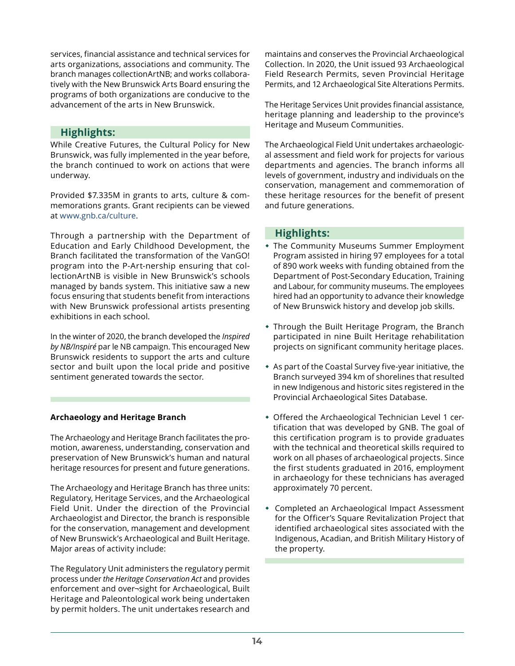services, financial assistance and technical services for arts organizations, associations and community. The branch manages collectionArtNB; and works collaboratively with the New Brunswick Arts Board ensuring the programs of both organizations are conducive to the advancement of the arts in New Brunswick.

## **Highlights:**

While Creative Futures, the Cultural Policy for New Brunswick, was fully implemented in the year before, the branch continued to work on actions that were underway.

Provided \$7.335M in grants to arts, culture & commemorations grants. Grant recipients can be viewed at [www.gnb.ca/culture.](http://www.gnb.ca/culture)

Through a partnership with the Department of Education and Early Childhood Development, the Branch facilitated the transformation of the VanGO! program into the P-Art-nership ensuring that collectionArtNB is visible in New Brunswick's schools managed by bands system. This initiative saw a new focus ensuring that students benefit from interactions with New Brunswick professional artists presenting exhibitions in each school.

In the winter of 2020, the branch developed the *Inspired by NB/Inspiré* par le NB campaign. This encouraged New Brunswick residents to support the arts and culture sector and built upon the local pride and positive sentiment generated towards the sector.

## **Archaeology and Heritage Branch**

The Archaeology and Heritage Branch facilitates the promotion, awareness, understanding, conservation and preservation of New Brunswick's human and natural heritage resources for present and future generations.

The Archaeology and Heritage Branch has three units: Regulatory, Heritage Services, and the Archaeological Field Unit. Under the direction of the Provincial Archaeologist and Director, the branch is responsible for the conservation, management and development of New Brunswick's Archaeological and Built Heritage. Major areas of activity include:

The Regulatory Unit administers the regulatory permit process under *the Heritage Conservation Act* and provides enforcement and over¬sight for Archaeological, Built Heritage and Paleontological work being undertaken by permit holders. The unit undertakes research and

maintains and conserves the Provincial Archaeological Collection. In 2020, the Unit issued 93 Archaeological Field Research Permits, seven Provincial Heritage Permits, and 12 Archaeological Site Alterations Permits.

The Heritage Services Unit provides financial assistance, heritage planning and leadership to the province's Heritage and Museum Communities.

The Archaeological Field Unit undertakes archaeological assessment and field work for projects for various departments and agencies. The branch informs all levels of government, industry and individuals on the conservation, management and commemoration of these heritage resources for the benefit of present and future generations.

## **Highlights:**

- The Community Museums Summer Employment Program assisted in hiring 97 employees for a total of 890 work weeks with funding obtained from the Department of Post-Secondary Education, Training and Labour, for community museums. The employees hired had an opportunity to advance their knowledge of New Brunswick history and develop job skills.
- Through the Built Heritage Program, the Branch participated in nine Built Heritage rehabilitation projects on significant community heritage places.
- As part of the Coastal Survey five-year initiative, the Branch surveyed 394 km of shorelines that resulted in new Indigenous and historic sites registered in the Provincial Archaeological Sites Database.
- Offered the Archaeological Technician Level 1 certification that was developed by GNB. The goal of this certification program is to provide graduates with the technical and theoretical skills required to work on all phases of archaeological projects. Since the first students graduated in 2016, employment in archaeology for these technicians has averaged approximately 70 percent.
- Completed an Archaeological Impact Assessment for the Officer's Square Revitalization Project that identified archaeological sites associated with the Indigenous, Acadian, and British Military History of the property.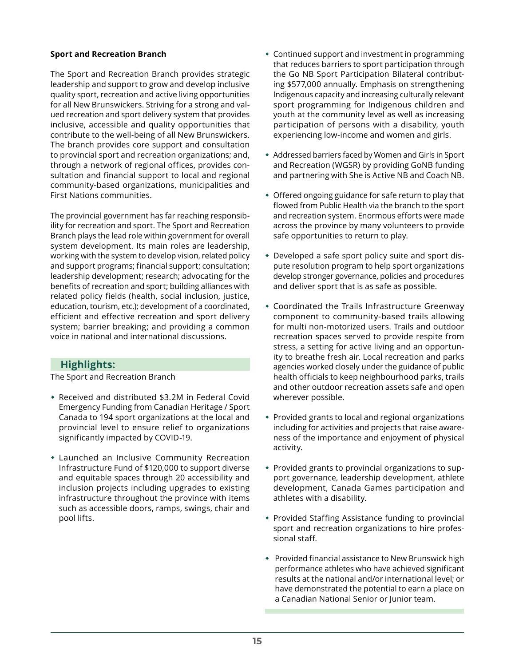### **Sport and Recreation Branch**

The Sport and Recreation Branch provides strategic leadership and support to grow and develop inclusive quality sport, recreation and active living opportunities for all New Brunswickers. Striving for a strong and valued recreation and sport delivery system that provides inclusive, accessible and quality opportunities that contribute to the well-being of all New Brunswickers. The branch provides core support and consultation to provincial sport and recreation organizations; and, through a network of regional offices, provides consultation and financial support to local and regional community-based organizations, municipalities and First Nations communities.

The provincial government has far reaching responsibility for recreation and sport. The Sport and Recreation Branch plays the lead role within government for overall system development. Its main roles are leadership, working with the system to develop vision, related policy and support programs; financial support; consultation; leadership development; research; advocating for the benefits of recreation and sport; building alliances with related policy fields (health, social inclusion, justice, education, tourism, etc.); development of a coordinated, efficient and effective recreation and sport delivery system; barrier breaking; and providing a common voice in national and international discussions.

## **Highlights:**

The Sport and Recreation Branch

- Received and distributed \$3.2M in Federal Covid Emergency Funding from Canadian Heritage / Sport Canada to 194 sport organizations at the local and provincial level to ensure relief to organizations significantly impacted by COVID-19.
- Launched an Inclusive Community Recreation Infrastructure Fund of \$120,000 to support diverse and equitable spaces through 20 accessibility and inclusion projects including upgrades to existing infrastructure throughout the province with items such as accessible doors, ramps, swings, chair and pool lifts.
- Continued support and investment in programming that reduces barriers to sport participation through the Go NB Sport Participation Bilateral contributing \$577,000 annually. Emphasis on strengthening Indigenous capacity and increasing culturally relevant sport programming for Indigenous children and youth at the community level as well as increasing participation of persons with a disability, youth experiencing low-income and women and girls.
- Addressed barriers faced by Women and Girls in Sport and Recreation (WGSR) by providing GoNB funding and partnering with She is Active NB and Coach NB.
- Offered ongoing guidance for safe return to play that flowed from Public Health via the branch to the sport and recreation system. Enormous efforts were made across the province by many volunteers to provide safe opportunities to return to play.
- Developed a safe sport policy suite and sport dispute resolution program to help sport organizations develop stronger governance, policies and procedures and deliver sport that is as safe as possible.
- Coordinated the Trails Infrastructure Greenway component to community-based trails allowing for multi non-motorized users. Trails and outdoor recreation spaces served to provide respite from stress, a setting for active living and an opportunity to breathe fresh air. Local recreation and parks agencies worked closely under the guidance of public health officials to keep neighbourhood parks, trails and other outdoor recreation assets safe and open wherever possible.
- Provided grants to local and regional organizations including for activities and projects that raise awareness of the importance and enjoyment of physical activity.
- Provided grants to provincial organizations to support governance, leadership development, athlete development, Canada Games participation and athletes with a disability.
- Provided Staffing Assistance funding to provincial sport and recreation organizations to hire professional staff.
- Provided financial assistance to New Brunswick high performance athletes who have achieved significant results at the national and/or international level; or have demonstrated the potential to earn a place on a Canadian National Senior or Junior team.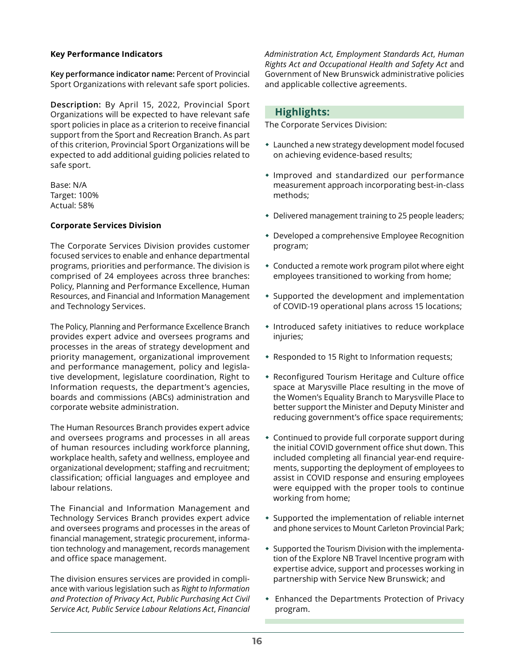### **Key Performance Indicators**

**Key performance indicator name:** Percent of Provincial Sport Organizations with relevant safe sport policies.

**Description:** By April 15, 2022, Provincial Sport Organizations will be expected to have relevant safe sport policies in place as a criterion to receive financial support from the Sport and Recreation Branch. As part of this criterion, Provincial Sport Organizations will be expected to add additional guiding policies related to safe sport.

Base: N/A Target: 100% Actual: 58%

#### **Corporate Services Division**

The Corporate Services Division provides customer focused services to enable and enhance departmental programs, priorities and performance. The division is comprised of 24 employees across three branches: Policy, Planning and Performance Excellence, Human Resources, and Financial and Information Management and Technology Services.

The Policy, Planning and Performance Excellence Branch provides expert advice and oversees programs and processes in the areas of strategy development and priority management, organizational improvement and performance management, policy and legislative development, legislature coordination, Right to Information requests, the department's agencies, boards and commissions (ABCs) administration and corporate website administration.

The Human Resources Branch provides expert advice and oversees programs and processes in all areas of human resources including workforce planning, workplace health, safety and wellness, employee and organizational development; staffing and recruitment; classification; official languages and employee and labour relations.

The Financial and Information Management and Technology Services Branch provides expert advice and oversees programs and processes in the areas of financial management, strategic procurement, information technology and management, records management and office space management.

The division ensures services are provided in compliance with various legislation such as *Right to Information and Protection of Privacy Act*, *Public Purchasing Act Civil Service Act, Public Service Labour Relations Act*, *Financial*  *Administration Act, Employment Standards Act*, *Human Rights Act and Occupational Health and Safety Act* and Government of New Brunswick administrative policies and applicable collective agreements.

## **Highlights:**

The Corporate Services Division:

- Launched a new strategy development model focused on achieving evidence-based results;
- Improved and standardized our performance measurement approach incorporating best-in-class methods;
- Delivered management training to 25 people leaders;
- Developed a comprehensive Employee Recognition program;
- Conducted a remote work program pilot where eight employees transitioned to working from home;
- Supported the development and implementation of COVID-19 operational plans across 15 locations;
- Introduced safety initiatives to reduce workplace injuries;
- Responded to 15 Right to Information requests;
- Reconfigured Tourism Heritage and Culture office space at Marysville Place resulting in the move of the Women's Equality Branch to Marysville Place to better support the Minister and Deputy Minister and reducing government's office space requirements;
- Continued to provide full corporate support during the initial COVID government office shut down. This included completing all financial year-end requirements, supporting the deployment of employees to assist in COVID response and ensuring employees were equipped with the proper tools to continue working from home;
- Supported the implementation of reliable internet and phone services to Mount Carleton Provincial Park;
- \* Supported the Tourism Division with the implementation of the Explore NB Travel Incentive program with expertise advice, support and processes working in partnership with Service New Brunswick; and
- Enhanced the Departments Protection of Privacy program.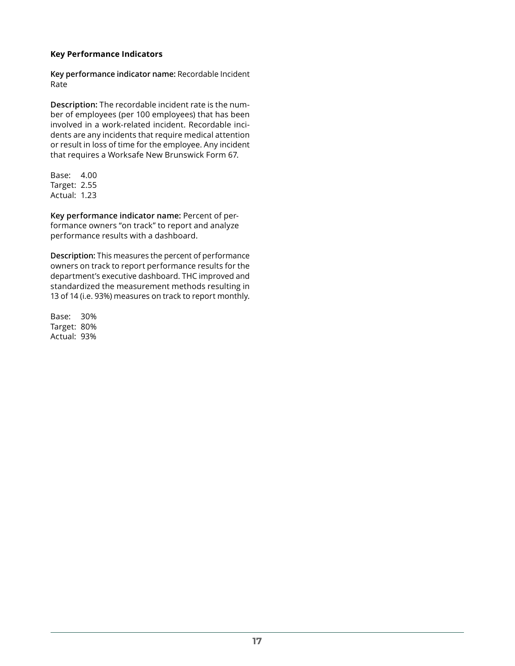### **Key Performance Indicators**

**Key performance indicator name:** Recordable Incident Rate

**Description:** The recordable incident rate is the number of employees (per 100 employees) that has been involved in a work-related incident. Recordable incidents are any incidents that require medical attention or result in loss of time for the employee. Any incident that requires a Worksafe New Brunswick Form 67.

Base: 4.00 Target: 2.55 Actual: 1.23

**Key performance indicator name:** Percent of performance owners "on track" to report and analyze performance results with a dashboard.

**Description:** This measures the percent of performance owners on track to report performance results for the department's executive dashboard. THC improved and standardized the measurement methods resulting in 13 of 14 (i.e. 93%) measures on track to report monthly.

Base: 30% Target: 80% Actual: 93%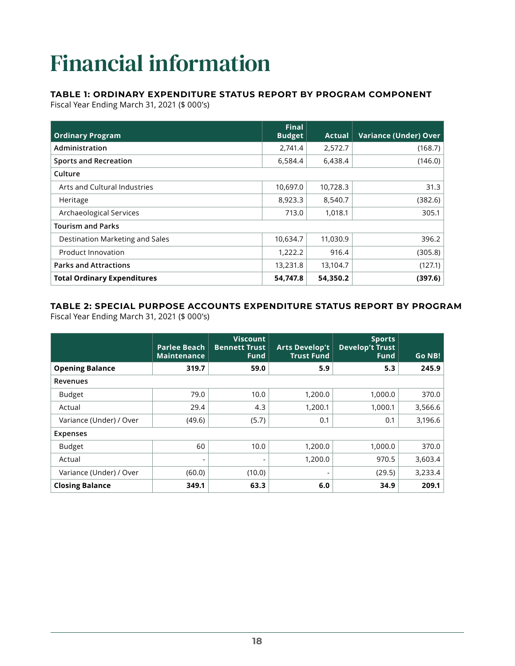## <span id="page-21-0"></span>Financial information

## **TABLE 1: ORDINARY EXPENDITURE STATUS REPORT BY PROGRAM COMPONENT**

Fiscal Year Ending March 31, 2021 (\$ 000's)

| <b>Ordinary Program</b>            | <b>Final</b><br><b>Budget</b> | Actual   | <b>Variance (Under) Over</b> |
|------------------------------------|-------------------------------|----------|------------------------------|
| Administration                     | 2,741.4                       | 2,572.7  | (168.7)                      |
| <b>Sports and Recreation</b>       | 6,584.4                       | 6,438.4  | (146.0)                      |
| Culture                            |                               |          |                              |
| Arts and Cultural Industries       | 10,697.0                      | 10,728.3 | 31.3                         |
| Heritage                           | 8,923.3                       | 8,540.7  | (382.6)                      |
| Archaeological Services            | 713.0                         | 1,018.1  | 305.1                        |
| <b>Tourism and Parks</b>           |                               |          |                              |
| Destination Marketing and Sales    | 10,634.7                      | 11,030.9 | 396.2                        |
| Product Innovation                 | 1,222.2                       | 916.4    | (305.8)                      |
| <b>Parks and Attractions</b>       | 13,231.8                      | 13,104.7 | (127.1)                      |
| <b>Total Ordinary Expenditures</b> | 54,747.8                      | 54,350.2 | (397.6)                      |

## **TABLE 2: SPECIAL PURPOSE ACCOUNTS EXPENDITURE STATUS REPORT BY PROGRAM** Fiscal Year Ending March 31, 2021 (\$ 000's)

|                         | <b>Parlee Beach</b><br><b>Maintenance</b> | Viscount<br><b>Bennett Trust</b><br><b>Fund</b> | <b>Arts Develop't</b><br><b>Trust Fund</b> | <b>Sports</b><br><b>Develop't Trust</b><br><b>Fund</b> | Go NB!  |
|-------------------------|-------------------------------------------|-------------------------------------------------|--------------------------------------------|--------------------------------------------------------|---------|
| <b>Opening Balance</b>  | 319.7                                     | 59.0                                            | 5.9                                        | 5.3                                                    | 245.9   |
| Revenues                |                                           |                                                 |                                            |                                                        |         |
| <b>Budget</b>           | 79.0                                      | 10.0                                            | 1,200.0                                    | 1,000.0                                                | 370.0   |
| Actual                  | 29.4                                      | 4.3                                             | 1,200.1                                    | 1.000.1                                                | 3,566.6 |
| Variance (Under) / Over | (49.6)                                    | (5.7)                                           | 0.1                                        | 0.1                                                    | 3,196.6 |
| <b>Expenses</b>         |                                           |                                                 |                                            |                                                        |         |
| <b>Budget</b>           | 60                                        | 10.0                                            | 1,200.0                                    | 1,000.0                                                | 370.0   |
| Actual                  | $\overline{\phantom{a}}$                  | $\qquad \qquad \blacksquare$                    | 1,200.0                                    | 970.5                                                  | 3,603.4 |
| Variance (Under) / Over | (60.0)                                    | (10.0)                                          | $\overline{\phantom{a}}$                   | (29.5)                                                 | 3,233.4 |
| <b>Closing Balance</b>  | 349.1                                     | 63.3                                            | 6.0                                        | 34.9                                                   | 209.1   |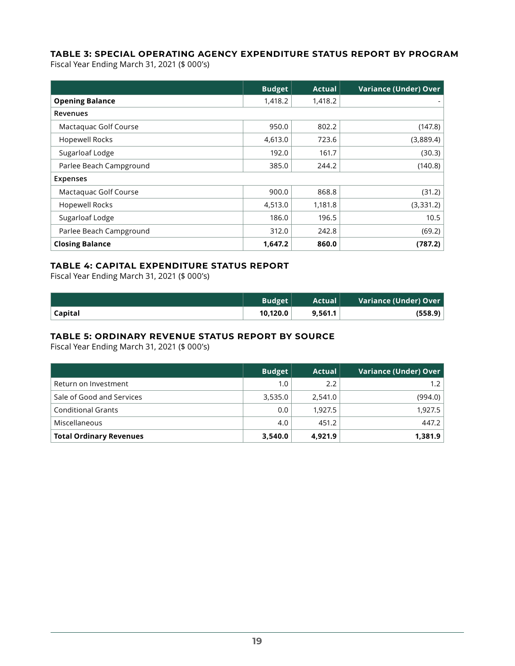## **TABLE 3: SPECIAL OPERATING AGENCY EXPENDITURE STATUS REPORT BY PROGRAM**

Fiscal Year Ending March 31, 2021 (\$ 000's)

|                         | <b>Budget</b> | <b>Actual</b> | <b>Variance (Under) Over</b> |
|-------------------------|---------------|---------------|------------------------------|
| <b>Opening Balance</b>  | 1,418.2       | 1,418.2       | $\sim$                       |
| Revenues                |               |               |                              |
| Mactaquac Golf Course   | 950.0         | 802.2         | (147.8)                      |
| <b>Hopewell Rocks</b>   | 4,613.0       | 723.6         | (3,889.4)                    |
| Sugarloaf Lodge         | 192.0         | 161.7         | (30.3)                       |
| Parlee Beach Campground | 385.0         | 244.2         | (140.8)                      |
| <b>Expenses</b>         |               |               |                              |
| Mactaquac Golf Course   | 900.0         | 868.8         | (31.2)                       |
| <b>Hopewell Rocks</b>   | 4,513.0       | 1,181.8       | (3, 331.2)                   |
| Sugarloaf Lodge         | 186.0         | 196.5         | 10.5                         |
| Parlee Beach Campground | 312.0         | 242.8         | (69.2)                       |
| <b>Closing Balance</b>  | 1,647.2       | 860.0         | (787.2)                      |

## **TABLE 4: CAPITAL EXPENDITURE STATUS REPORT**

Fiscal Year Ending March 31, 2021 (\$ 000's)

|                | <b>Budget</b> | Actual  | Variance (Under) Over |
|----------------|---------------|---------|-----------------------|
| <b>Capital</b> | 10.120.0      | 9,561.1 | (558.9)               |

## **TABLE 5: ORDINARY REVENUE STATUS REPORT BY SOURCE**

Fiscal Year Ending March 31, 2021 (\$ 000's)

|                                | <b>Budget</b> | Actual  | Variance (Under) Over |
|--------------------------------|---------------|---------|-----------------------|
| Return on Investment           | 1.0           | 2.2     | 1.2                   |
| Sale of Good and Services      | 3,535.0       | 2,541.0 | (994.0)               |
| <b>Conditional Grants</b>      | 0.0           | 1.927.5 | 1,927.5               |
| Miscellaneous                  | 4.0           | 451.2   | 447.2                 |
| <b>Total Ordinary Revenues</b> | 3,540.0       | 4,921.9 | 1,381.9               |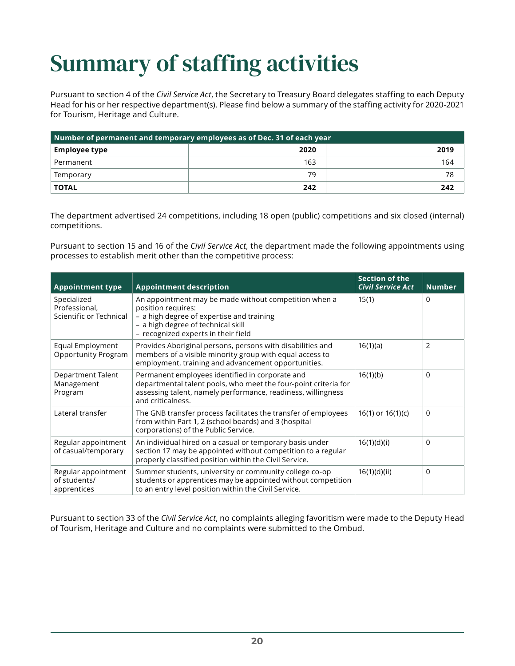## <span id="page-23-0"></span>Summary of staffing activities

Pursuant to section 4 of the *Civil Service Act*, the Secretary to Treasury Board delegates staffing to each Deputy Head for his or her respective department(s). Please find below a summary of the staffing activity for 2020-2021 for Tourism, Heritage and Culture.

| Number of permanent and temporary employees as of Dec. 31 of each year |      |      |  |
|------------------------------------------------------------------------|------|------|--|
| <b>Employee type</b>                                                   | 2020 | 2019 |  |
| Permanent                                                              | 163  | 164  |  |
| Temporary                                                              | 79   | 78   |  |
| <b>TOTAL</b>                                                           | 242  | 242  |  |

The department advertised 24 competitions, including 18 open (public) competitions and six closed (internal) competitions.

Pursuant to section 15 and 16 of the *Civil Service Act*, the department made the following appointments using processes to establish merit other than the competitive process:

| <b>Appointment type</b>                                 | <b>Appointment description</b>                                                                                                                                                                          | <b>Section of the</b><br><b>Civil Service Act</b> | <b>Number</b> |
|---------------------------------------------------------|---------------------------------------------------------------------------------------------------------------------------------------------------------------------------------------------------------|---------------------------------------------------|---------------|
| Specialized<br>Professional,<br>Scientific or Technical | An appointment may be made without competition when a<br>position requires:<br>- a high degree of expertise and training<br>- a high degree of technical skill<br>- recognized experts in their field   | 15(1)                                             | 0             |
| Equal Employment<br><b>Opportunity Program</b>          | Provides Aboriginal persons, persons with disabilities and<br>members of a visible minority group with equal access to<br>employment, training and advancement opportunities.                           | 16(1)(a)                                          | 2             |
| Department Talent<br>Management<br>Program              | Permanent employees identified in corporate and<br>departmental talent pools, who meet the four-point criteria for<br>assessing talent, namely performance, readiness, willingness<br>and criticalness. | 16(1)(b)                                          | 0             |
| Lateral transfer                                        | The GNB transfer process facilitates the transfer of employees<br>from within Part 1, 2 (school boards) and 3 (hospital<br>corporations) of the Public Service.                                         | $16(1)$ or $16(1)(c)$                             | 0             |
| Regular appointment<br>of casual/temporary              | An individual hired on a casual or temporary basis under<br>section 17 may be appointed without competition to a regular<br>properly classified position within the Civil Service.                      | 16(1)(d)(i)                                       | 0             |
| Regular appointment<br>of students/<br>apprentices      | Summer students, university or community college co-op<br>students or apprentices may be appointed without competition<br>to an entry level position within the Civil Service.                          | 16(1)(d)(ii)                                      | $\Omega$      |

Pursuant to section 33 of the *Civil Service Act*, no complaints alleging favoritism were made to the Deputy Head of Tourism, Heritage and Culture and no complaints were submitted to the Ombud.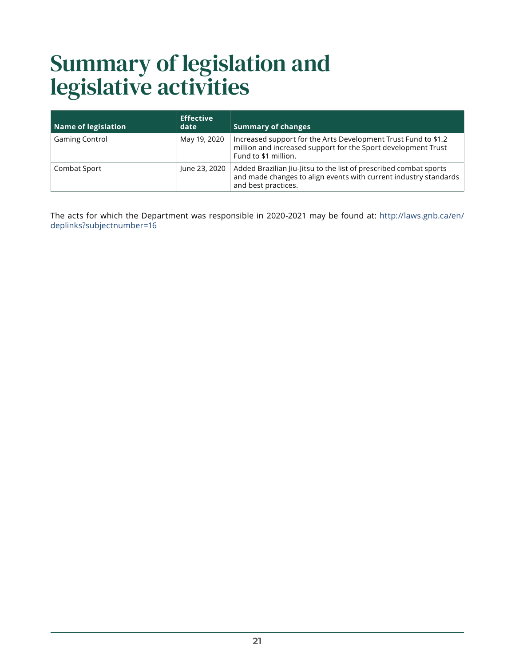## <span id="page-24-0"></span>Summary of legislation and legislative activities

| Name of legislation   | <b>Effective</b><br>date | <b>Summary of changes</b>                                                                                                                                    |
|-----------------------|--------------------------|--------------------------------------------------------------------------------------------------------------------------------------------------------------|
| <b>Gaming Control</b> | May 19, 2020             | Increased support for the Arts Development Trust Fund to \$1.2<br>million and increased support for the Sport development Trust<br>Fund to \$1 million.      |
| Combat Sport          | June 23, 2020            | Added Brazilian Jiu-Jitsu to the list of prescribed combat sports<br>and made changes to align events with current industry standards<br>and best practices. |

The acts for which the Department was responsible in 2020-2021 may be found at: [http://laws.gnb.ca/en/](http://laws.gnb.ca/en/deplinks?subjectnumber=16) [deplinks?subjectnumber=16](http://laws.gnb.ca/en/deplinks?subjectnumber=16)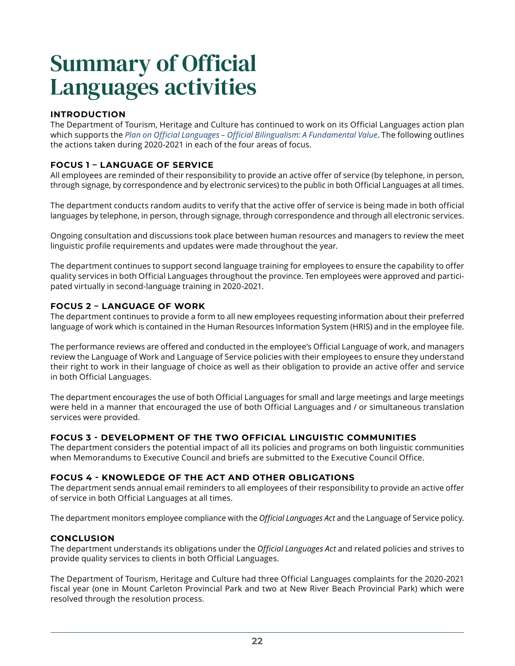## <span id="page-25-0"></span>Summary of Official Languages activities

## **INTRODUCTION**

The Department of Tourism, Heritage and Culture has continued to work on its Official Languages action plan which supports the *[Plan on Official Languages – Official Bilingualism: A Fundamental Value](http://www2.gnb.ca/content/dam/gnb/Departments/iga-aig/pdf/PlanonOfficialLanguagesOfficialBilingualismAFundamentalValue.pdf)*. The following outlines the actions taken during 2020-2021 in each of the four areas of focus.

## **FOCUS 1 – LANGUAGE OF SERVICE**

All employees are reminded of their responsibility to provide an active offer of service (by telephone, in person, through signage, by correspondence and by electronic services) to the public in both Official Languages at all times.

The department conducts random audits to verify that the active offer of service is being made in both official languages by telephone, in person, through signage, through correspondence and through all electronic services.

Ongoing consultation and discussions took place between human resources and managers to review the meet linguistic profile requirements and updates were made throughout the year.

The department continues to support second language training for employees to ensure the capability to offer quality services in both Official Languages throughout the province. Ten employees were approved and participated virtually in second-language training in 2020-2021.

### **FOCUS 2 – LANGUAGE OF WORK**

The department continues to provide a form to all new employees requesting information about their preferred language of work which is contained in the Human Resources Information System (HRIS) and in the employee file.

The performance reviews are offered and conducted in the employee's Official Language of work, and managers review the Language of Work and Language of Service policies with their employees to ensure they understand their right to work in their language of choice as well as their obligation to provide an active offer and service in both Official Languages.

The department encourages the use of both Official Languages for small and large meetings and large meetings were held in a manner that encouraged the use of both Official Languages and / or simultaneous translation services were provided.

## **FOCUS 3 - DEVELOPMENT OF THE TWO OFFICIAL LINGUISTIC COMMUNITIES**

The department considers the potential impact of all its policies and programs on both linguistic communities when Memorandums to Executive Council and briefs are submitted to the Executive Council Office.

### **FOCUS 4 - KNOWLEDGE OF THE ACT AND OTHER OBLIGATIONS**

The department sends annual email reminders to all employees of their responsibility to provide an active offer of service in both Official Languages at all times.

The department monitors employee compliance with the *Official Languages Act* and the Language of Service policy.

### **CONCLUSION**

The department understands its obligations under the *Official Languages Act* and related policies and strives to provide quality services to clients in both Official Languages.

The Department of Tourism, Heritage and Culture had three Official Languages complaints for the 2020-2021 fiscal year (one in Mount Carleton Provincial Park and two at New River Beach Provincial Park) which were resolved through the resolution process.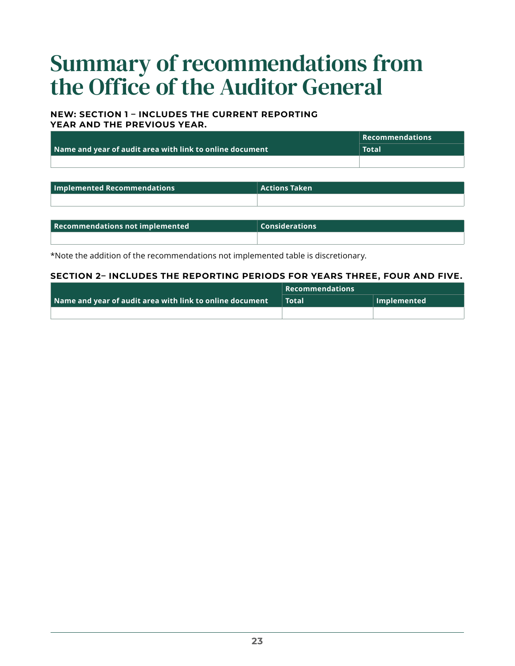## <span id="page-26-0"></span>Summary of recommendations from the Office of the Auditor General

### **NEW: SECTION 1 – INCLUDES THE CURRENT REPORTING YEAR AND THE PREVIOUS YEAR.**

|                                                          | $\parallel$ Recommendations |
|----------------------------------------------------------|-----------------------------|
| Name and year of audit area with link to online document | Total <sub>1</sub>          |
|                                                          |                             |

| Implemented Recommendations | <b>Actions Taken</b> |
|-----------------------------|----------------------|
|                             |                      |

| Recommendations not implemented | $\mid$ Considerations |
|---------------------------------|-----------------------|
|                                 |                       |

\*Note the addition of the recommendations not implemented table is discretionary.

### **SECTION 2– INCLUDES THE REPORTING PERIODS FOR YEARS THREE, FOUR AND FIVE.**

|                                                          | $\mid$ Recommendations $\mid$ |                     |
|----------------------------------------------------------|-------------------------------|---------------------|
| Name and year of audit area with link to online document | <b>Total</b>                  | $\vert$ Implemented |
|                                                          |                               |                     |